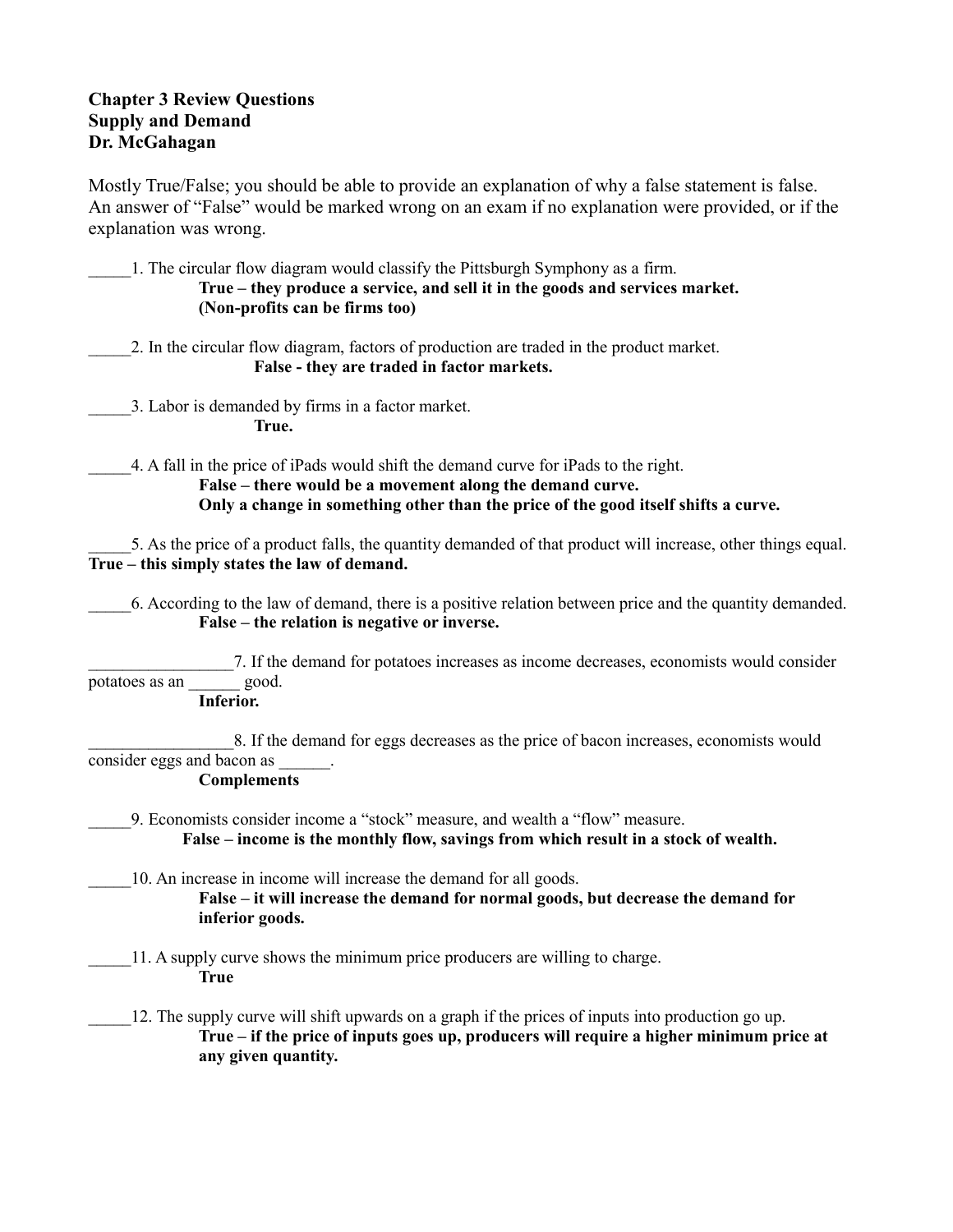## **Chapter 3 Review Questions Supply and Demand Dr. McGahagan**

Mostly True/False; you should be able to provide an explanation of why a false statement is false. An answer of "False" would be marked wrong on an exam if no explanation were provided, or if the explanation was wrong.

\_\_\_\_\_1. The circular flow diagram would classify the Pittsburgh Symphony as a firm. **True – they produce a service, and sell it in the goods and services market. (Non-profits can be firms too)**

\_\_\_\_\_2. In the circular flow diagram, factors of production are traded in the product market. **False - they are traded in factor markets.** 

\_\_\_\_\_3. Labor is demanded by firms in a factor market. **True.**

\_\_\_\_\_4. A fall in the price of iPads would shift the demand curve for iPads to the right.

**False – there would be a movement along the demand curve. Only a change in something other than the price of the good itself shifts a curve.**

\_\_\_\_\_5. As the price of a product falls, the quantity demanded of that product will increase, other things equal. **True – this simply states the law of demand.**

\_\_\_\_\_6. According to the law of demand, there is a positive relation between price and the quantity demanded. **False – the relation is negative or inverse.**

\_\_\_\_\_\_\_\_\_\_\_\_\_\_\_\_\_7. If the demand for potatoes increases as income decreases, economists would consider potatoes as an \_\_\_\_\_\_ good.

**Inferior.**

8. If the demand for eggs decreases as the price of bacon increases, economists would consider eggs and bacon as

**Complements**

- \_\_\_\_\_9. Economists consider income a "stock" measure, and wealth a "flow" measure.  **False – income is the monthly flow, savings from which result in a stock of wealth.**
- \_\_\_\_\_10. An increase in income will increase the demand for all goods. **False – it will increase the demand for normal goods, but decrease the demand for inferior goods.**
- \_\_\_\_\_11. A supply curve shows the minimum price producers are willing to charge. **True**
	- \_\_\_\_\_12. The supply curve will shift upwards on a graph if the prices of inputs into production go up. **True – if the price of inputs goes up, producers will require a higher minimum price at any given quantity.**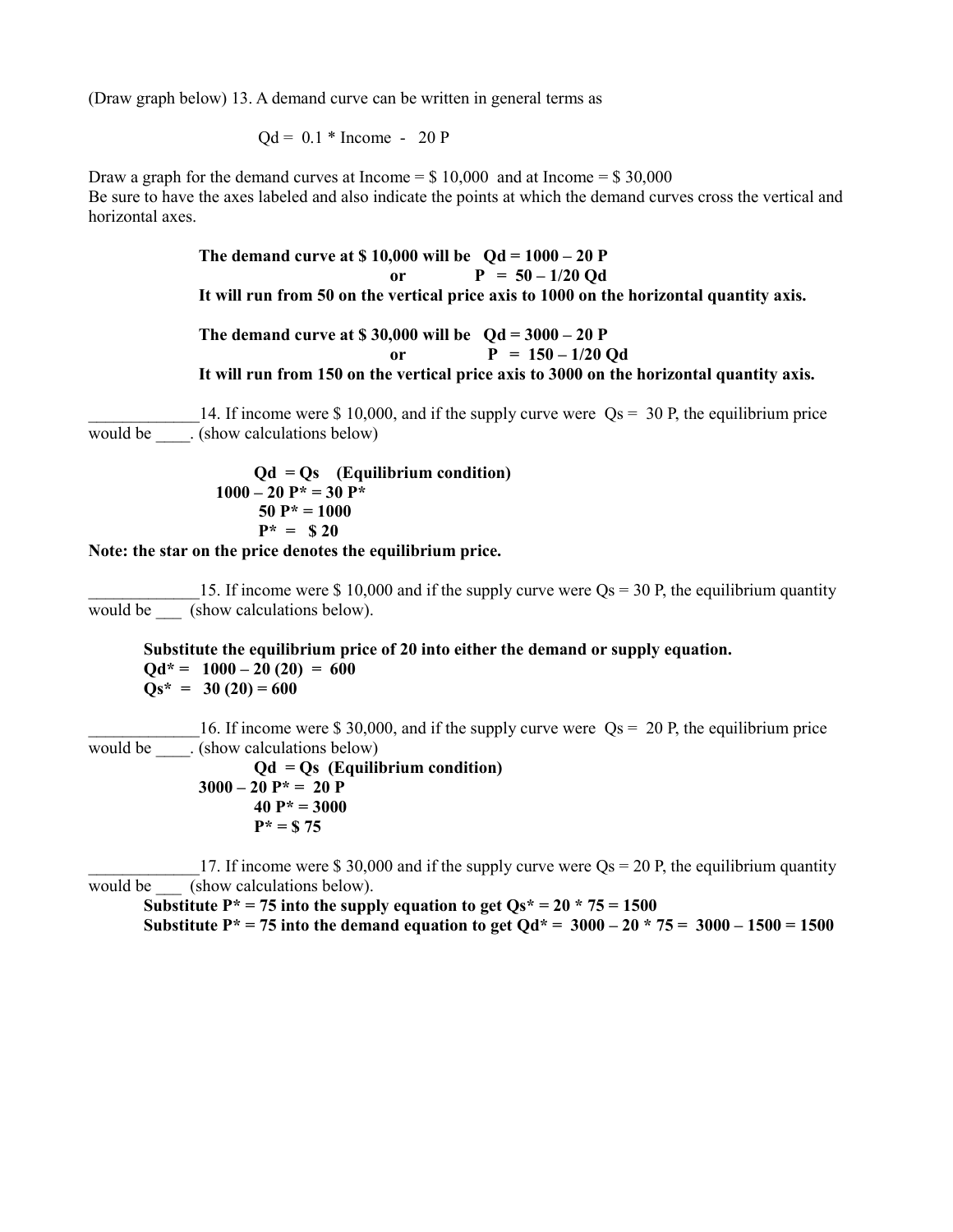(Draw graph below) 13. A demand curve can be written in general terms as

$$
Qd = 0.1 * Income - 20 P
$$

Draw a graph for the demand curves at Income  $= $10,000$  and at Income  $= $30,000$ Be sure to have the axes labeled and also indicate the points at which the demand curves cross the vertical and horizontal axes.

> **The demand curve at \$ 10,000 will be Qd = 1000 – 20 P** or  $P = 50 - 1/20$  Od **It will run from 50 on the vertical price axis to 1000 on the horizontal quantity axis. The demand curve at \$ 30,000 will be Qd = 3000 – 20 P**

or  $P = 150 - 1/20$  Od **It will run from 150 on the vertical price axis to 3000 on the horizontal quantity axis.**

14. If income were \$ 10,000, and if the supply curve were  $Os = 30$  P, the equilibrium price would be \_\_\_\_. (show calculations below)

$$
Qd = Qs \t(Equilibrium condition)1000 - 20 P* = 30 P* 50 P* = 1000P* = $20
$$

**Note: the star on the price denotes the equilibrium price.**

15. If income were \$ 10,000 and if the supply curve were  $Q_s = 30$  P, the equilibrium quantity would be \_\_\_\_ (show calculations below).

**Substitute the equilibrium price of 20 into either the demand or supply equation.**  $\text{Od*} = 1000 - 20(20) = 600$  $\text{Os*} = 30(20) = 600$ 

16. If income were \$ 30,000, and if the supply curve were  $\text{Qs} = 20 \text{ P}$ , the equilibrium price would be  $\qquad$ . (show calculations below)

```
Qd = Qs (Equilibrium condition)
3000 - 20 P* = 20 P
       40 P* = 3000
       P* = $ 75
```
17. If income were \$ 30,000 and if the supply curve were  $Os = 20$  P, the equilibrium quantity would be \_\_\_\_ (show calculations below).

Substitute  $P^* = 75$  into the supply equation to get  $Qs^* = 20 * 75 = 1500$ Substitute  $P^* = 75$  into the demand equation to get  $Qd^* = 3000 - 20 \times 75 = 3000 - 1500 = 1500$